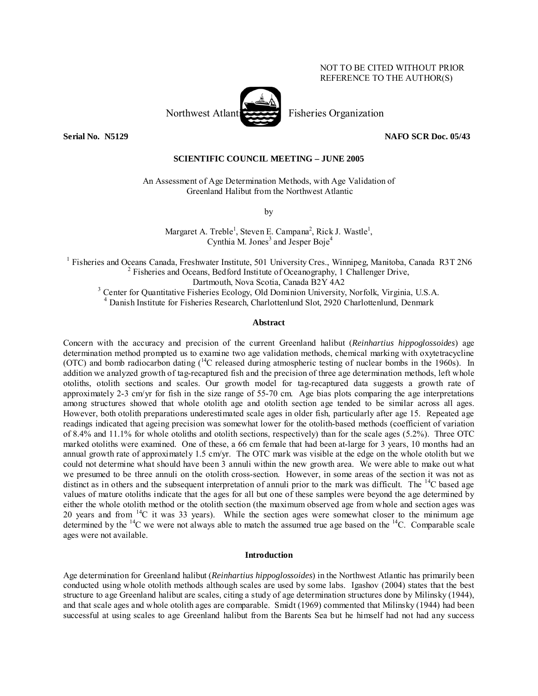# NOT TO BE CITED WITHOUT PRIOR REFERENCE TO THE AUTHOR(S)



**Serial No. N5129 NAFO SCR Doc. 05/43** 

## **SCIENTIFIC COUNCIL MEETING – JUNE 2005**

An Assessment of Age Determination Methods, with Age Validation of Greenland Halibut from the Northwest Atlantic

by

Margaret A. Treble<sup>1</sup>, Steven E. Campana<sup>2</sup>, Rick J. Wastle<sup>1</sup>, Cynthia M. Jones<sup>3</sup> and Jesper Boje<sup>4</sup>

<sup>1</sup> Fisheries and Oceans Canada, Freshwater Institute, 501 University Cres., Winnipeg, Manitoba, Canada R3T 2N6  $^{2}$  Fisheries and Oceans, Bedford Institute of Oceanography, 1 Challenger Drive, Dartmouth, Nova Scotia, Canada B2Y 4A2<br><sup>3</sup> Center for Quantitative Fisheries Ecology, Old Dominion University, Norfolk, Virginia, U.S.A.

4 Danish Institute for Fisheries Research, Charlottenlund Slot, 2920 Charlottenlund, Denmark

#### **Abstract**

Concern with the accuracy and precision of the current Greenland halibut (*Reinhartius hippoglossoides*) age determination method prompted us to examine two age validation methods, chemical marking with oxytetracycline (OTC) and bomb radiocarbon dating (14C released during atmospheric testing of nuclear bombs in the 1960s). In addition we analyzed growth of tag-recaptured fish and the precision of three age determination methods, left whole otoliths, otolith sections and scales. Our growth model for tag-recaptured data suggests a growth rate of approximately 2-3 cm/yr for fish in the size range of 55-70 cm. Age bias plots comparing the age interpretations among structures showed that whole otolith age and otolith section age tended to be similar across all ages. However, both otolith preparations underestimated scale ages in older fish, particularly after age 15. Repeated age readings indicated that ageing precision was somewhat lower for the otolith-based methods (coefficient of variation of 8.4% and 11.1% for whole otoliths and otolith sections, respectively) than for the scale ages  $(5.2\%)$ . Three OTC marked otoliths were examined. One of these, a 66 cm female that had been at-large for 3 years, 10 months had an annual growth rate of approximately 1.5 cm/yr. The OTC mark was visible at the edge on the whole otolith but we could not determine what should have been 3 annuli within the new growth area. We were able to make out what we presumed to be three annuli on the otolith cross-section. However, in some areas of the section it was not as distinct as in others and the subsequent interpretation of annuli prior to the mark was difficult. The  $^{14}C$  based age values of mature otoliths indicate that the ages for all but one of these samples were beyond the age determined by either the whole otolith method or the otolith section (the maximum observed age from whole and section ages was 20 years and from  $14C$  it was 33 years). While the section ages were somewhat closer to the minimum age determined by the  $14C$  we were not always able to match the assumed true age based on the  $14C$ . Comparable scale ages were not available.

## **Introduction**

Age determination for Greenland halibut (*Reinhartius hippoglossoides*) in the Northwest Atlantic has primarily been conducted using whole otolith methods although scales are used by some labs. Igashov (2004) states that the best structure to age Greenland halibut are scales, citing a study of age determination structures done by Milinsky (1944), and that scale ages and whole otolith ages are comparable. Smidt (1969) commented that Milinsky (1944) had been successful at using scales to age Greenland halibut from the Barents Sea but he himself had not had any success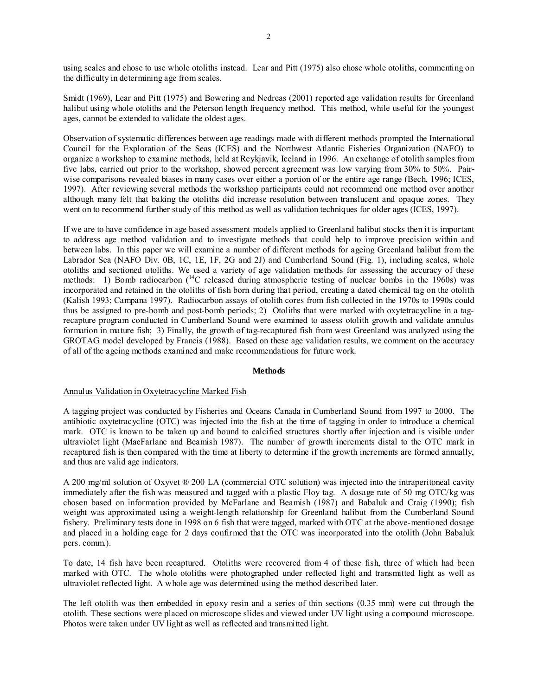using scales and chose to use whole otoliths instead. Lear and Pitt (1975) also chose whole otoliths, commenting on the difficulty in determining age from scales.

Smidt (1969), Lear and Pitt (1975) and Bowering and Nedreas (2001) reported age validation results for Greenland halibut using whole otoliths and the Peterson length frequency method. This method, while useful for the youngest ages, cannot be extended to validate the oldest ages.

Observation of systematic differences between age readings made with different methods prompted the International Council for the Exploration of the Seas (ICES) and the Northwest Atlantic Fisheries Organization (NAFO) to organize a workshop to examine methods, held at Reykjavik, Iceland in 1996. An exchange of otolith samples from five labs, carried out prior to the workshop, showed percent agreement was low varying from 30% to 50%. Pairwise comparisons revealed biases in many cases over either a portion of or the entire age range (Bech, 1996; ICES, 1997). After reviewing several methods the workshop participants could not recommend one method over another although many felt that baking the otoliths did increase resolution between translucent and opaque zones. They went on to recommend further study of this method as well as validation techniques for older ages (ICES, 1997).

If we are to have confidence in age based assessment models applied to Greenland halibut stocks then it is important to address age method validation and to investigate methods that could help to improve precision within and between labs. In this paper we will examine a number of different methods for ageing Greenland halibut from the Labrador Sea (NAFO Div. 0B, 1C, 1E, 1F, 2G and 2J) and Cumberland Sound (Fig. 1), including scales, whole otoliths and sectioned otoliths. We used a variety of age validation methods for assessing the accuracy of these methods: 1) Bomb radiocarbon (<sup>14</sup>C released during atmospheric testing of nuclear bombs in the 1960s) was incorporated and retained in the otoliths of fish born during that period, creating a dated chemical tag on the otolith (Kalish 1993; Campana 1997). Radiocarbon assays of otolith cores from fish collected in the 1970s to 1990s could thus be assigned to pre-bomb and post-bomb periods; 2) Otoliths that were marked with oxytetracycline in a tagrecapture program conducted in Cumberland Sound were examined to assess otolith growth and validate annulus formation in mature fish; 3) Finally, the growth of tag-recaptured fish from west Greenland was analyzed using the GROTAG model developed by Francis (1988). Based on these age validation results, we comment on the accuracy of all of the ageing methods examined and make recommendations for future work.

#### **Methods**

## Annulus Validation in Oxytetracycline Marked Fish

A tagging project was conducted by Fisheries and Oceans Canada in Cumberland Sound from 1997 to 2000. The antibiotic oxytetracycline (OTC) was injected into the fish at the time of tagging in order to introduce a chemical mark. OTC is known to be taken up and bound to calcified structures shortly after injection and is visible under ultraviolet light (MacFarlane and Beamish 1987). The number of growth increments distal to the OTC mark in recaptured fish is then compared with the time at liberty to determine if the growth increments are formed annually, and thus are valid age indicators.

A 200 mg/ml solution of Oxyvet ® 200 LA (commercial OTC solution) was injected into the intraperitoneal cavity immediately after the fish was measured and tagged with a plastic Floy tag. A dosage rate of 50 mg OTC/kg was chosen based on information provided by McFarlane and Beamish (1987) and Babaluk and Craig (1990); fish weight was approximated using a weight-length relationship for Greenland halibut from the Cumberland Sound fishery. Preliminary tests done in 1998 on 6 fish that were tagged, marked with OTC at the above-mentioned dosage and placed in a holding cage for 2 days confirmed that the OTC was incorporated into the otolith (John Babaluk pers. comm.).

To date, 14 fish have been recaptured. Otoliths were recovered from 4 of these fish, three of which had been marked with OTC. The whole otoliths were photographed under reflected light and transmitted light as well as ultraviolet reflected light. A whole age was determined using the method described later.

The left otolith was then embedded in epoxy resin and a series of thin sections (0.35 mm) were cut through the otolith. These sections were placed on microscope slides and viewed under UV light using a compound microscope. Photos were taken under UV light as well as reflected and transmitted light.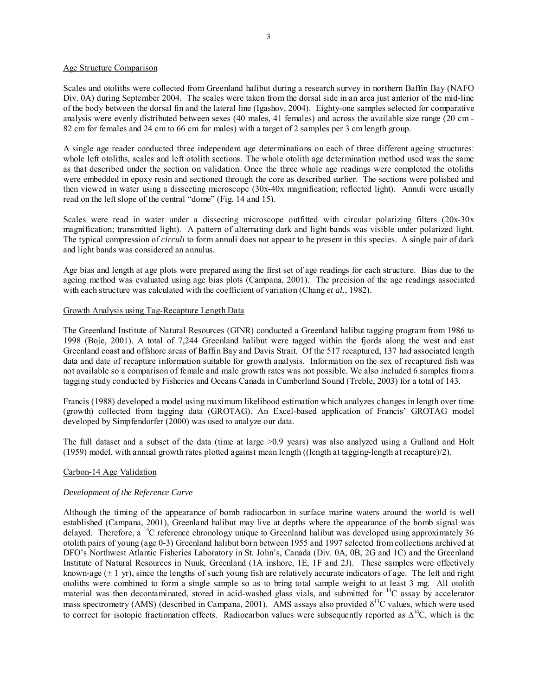## Age Structure Comparison

Scales and otoliths were collected from Greenland halibut during a research survey in northern Baffin Bay (NAFO Div. 0A) during September 2004. The scales were taken from the dorsal side in an area just anterior of the mid-line of the body between the dorsal fin and the lateral line (Igashov, 2004). Eighty-one samples selected for comparative analysis were evenly distributed between sexes (40 males, 41 females) and across the available size range (20 cm - 82 cm for females and 24 cm to 66 cm for males) with a target of 2 samples per 3 cm length group.

A single age reader conducted three independent age determinations on each of three different ageing structures: whole left otoliths, scales and left otolith sections. The whole otolith age determination method used was the same as that described under the section on validation. Once the three whole age readings were completed the otoliths were embedded in epoxy resin and sectioned through the core as described earlier. The sections were polished and then viewed in water using a dissecting microscope (30x-40x magnification; reflected light). Annuli were usually read on the left slope of the central "dome" (Fig. 14 and 15).

Scales were read in water under a dissecting microscope outfitted with circular polarizing filters (20x-30x) magnification; transmitted light). A pattern of alternating dark and light bands was visible under polarized light. The typical compression of *circuli* to form annuli does not appear to be present in this species. A single pair of dark and light bands was considered an annulus.

Age bias and length at age plots were prepared using the first set of age readings for each structure. Bias due to the ageing method was evaluated using age bias plots (Campana, 2001). The precision of the age readings associated with each structure was calculated with the coefficient of variation (Chang *et al*., 1982).

## Growth Analysis using Tag-Recapture Length Data

The Greenland Institute of Natural Resources (GINR) conducted a Greenland halibut tagging program from 1986 to 1998 (Boje, 2001). A total of 7,244 Greenland halibut were tagged within the fjords along the west and east Greenland coast and offshore areas of Baffin Bay and Davis Strait. Of the 517 recaptured, 137 had associated length data and date of recapture information suitable for growth analysis. Information on the sex of recaptured fish was not available so a comparison of female and male growth rates was not possible. We also included 6 samples from a tagging study conducted by Fisheries and Oceans Canada in Cumberland Sound (Treble, 2003) for a total of 143.

Francis (1988) developed a model using maximum likelihood estimation which analyzes changes in length over time (growth) collected from tagging data (GROTAG). An Excel-based application of Francis' GROTAG model developed by Simpfendorfer (2000) was used to analyze our data.

The full dataset and a subset of the data (time at large >0.9 years) was also analyzed using a Gulland and Holt (1959) model, with annual growth rates plotted against mean length ((length at tagging-length at recapture)/2).

## Carbon-14 Age Validation

## *Development of the Reference Curve*

Although the timing of the appearance of bomb radiocarbon in surface marine waters around the world is well established (Campana, 2001), Greenland halibut may live at depths where the appearance of the bomb signal was delayed. Therefore, a <sup>14</sup>C reference chronology unique to Greenland halibut was developed using approximately 36 otolith pairs of young (age 0-3) Greenland halibut born between 1955 and 1997 selected from collections archived at DFO's Northwest Atlantic Fisheries Laboratory in St. John's, Canada (Div. 0A, 0B, 2G and 1C) and the Greenland Institute of Natural Resources in Nuuk, Greenland (1A inshore, 1E, 1F and 2J). These samples were effectively known-age  $(\pm 1 \text{ yr})$ , since the lengths of such young fish are relatively accurate indicators of age. The left and right otoliths were combined to form a single sample so as to bring total sample weight to at least 3 mg. All otolith material was then decontaminated, stored in acid-washed glass vials, and submitted for 14C assay by accelerator mass spectrometry (AMS) (described in Campana, 2001). AMS assays also provided  $\delta^{13}$ C values, which were used to correct for isotopic fractionation effects. Radiocarbon values were subsequently reported as  $\Delta^{14}C$ , which is the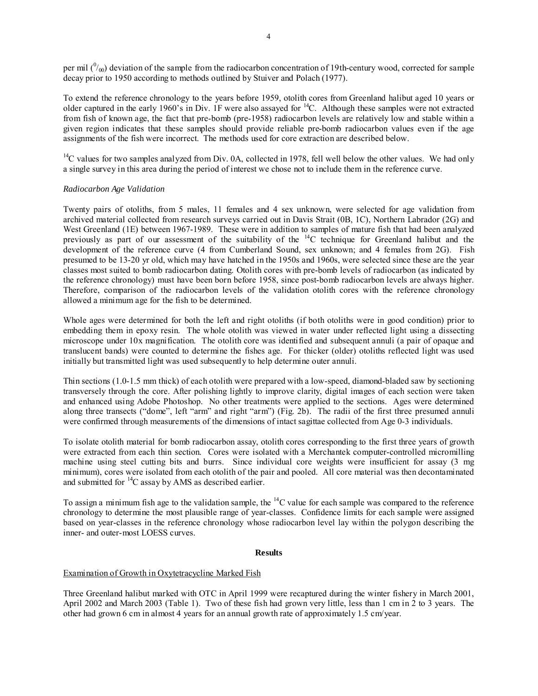per mil  $(^{0}_{00})$  deviation of the sample from the radiocarbon concentration of 19th-century wood, corrected for sample decay prior to 1950 according to methods outlined by Stuiver and Polach (1977).

To extend the reference chronology to the years before 1959, otolith cores from Greenland halibut aged 10 years or older captured in the early 1960's in Div. 1F were also assayed for 14C. Although these samples were not extracted from fish of known age, the fact that pre-bomb (pre-1958) radiocarbon levels are relatively low and stable within a given region indicates that these samples should provide reliable pre-bomb radiocarbon values even if the age assignments of the fish were incorrect. The methods used for core extraction are described below.

 $<sup>14</sup>C$  values for two samples analyzed from Div. 0A, collected in 1978, fell well below the other values. We had only</sup> a single survey in this area during the period of interest we chose not to include them in the reference curve.

## *Radiocarbon Age Validation*

Twenty pairs of otoliths, from 5 males, 11 females and 4 sex unknown, were selected for age validation from archived material collected from research surveys carried out in Davis Strait (0B, 1C), Northern Labrador (2G) and West Greenland (1E) between 1967-1989. These were in addition to samples of mature fish that had been analyzed previously as part of our assessment of the suitability of the 14C technique for Greenland halibut and the development of the reference curve (4 from Cumberland Sound, sex unknown; and 4 females from 2G). Fish presumed to be 13-20 yr old, which may have hatched in the 1950s and 1960s, were selected since these are the year classes most suited to bomb radiocarbon dating. Otolith cores with pre-bomb levels of radiocarbon (as indicated by the reference chronology) must have been born before 1958, since post-bomb radiocarbon levels are always higher. Therefore, comparison of the radiocarbon levels of the validation otolith cores with the reference chronology allowed a minimum age for the fish to be determined.

Whole ages were determined for both the left and right otoliths (if both otoliths were in good condition) prior to embedding them in epoxy resin. The whole otolith was viewed in water under reflected light using a dissecting microscope under 10x magnification. The otolith core was identified and subsequent annuli (a pair of opaque and translucent bands) were counted to determine the fishes age. For thicker (older) otoliths reflected light was used initially but transmitted light was used subsequently to help determine outer annuli.

Thin sections (1.0-1.5 mm thick) of each otolith were prepared with a low-speed, diamond-bladed saw by sectioning transversely through the core. After polishing lightly to improve clarity, digital images of each section were taken and enhanced using Adobe Photoshop. No other treatments were applied to the sections. Ages were determined along three transects ("dome", left "arm" and right "arm") (Fig. 2b). The radii of the first three presumed annuli were confirmed through measurements of the dimensions of intact sagittae collected from Age 0-3 individuals.

To isolate otolith material for bomb radiocarbon assay, otolith cores corresponding to the first three years of growth were extracted from each thin section. Cores were isolated with a Merchantek computer-controlled micromilling machine using steel cutting bits and burrs. Since individual core weights were insufficient for assay (3 mg minimum), cores were isolated from each otolith of the pair and pooled. All core material was then decontaminated and submitted for <sup>14</sup>C assay by AMS as described earlier.

To assign a minimum fish age to the validation sample, the  ${}^{14}C$  value for each sample was compared to the reference chronology to determine the most plausible range of year-classes. Confidence limits for each sample were assigned based on year-classes in the reference chronology whose radiocarbon level lay within the polygon describing the inner- and outer-most LOESS curves.

## **Results**

## Examination of Growth in Oxytetracycline Marked Fish

Three Greenland halibut marked with OTC in April 1999 were recaptured during the winter fishery in March 2001, April 2002 and March 2003 (Table 1). Two of these fish had grown very little, less than 1 cm in 2 to 3 years. The other had grown 6 cm in almost 4 years for an annual growth rate of approximately 1.5 cm/year.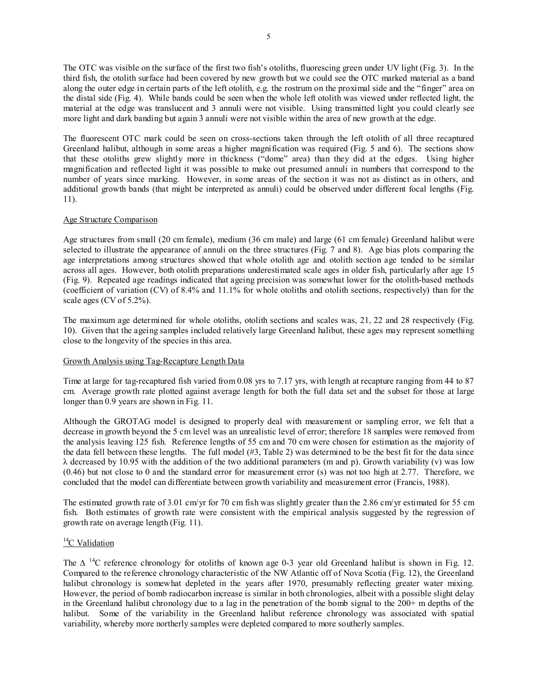The OTC was visible on the surface of the first two fish's otoliths, fluorescing green under UV light (Fig. 3). In the third fish, the otolith surface had been covered by new growth but we could see the OTC marked material as a band along the outer edge in certain parts of the left otolith, e.g. the rostrum on the proximal side and the "finger" area on the distal side (Fig. 4). While bands could be seen when the whole left otolith was viewed under reflected light, the material at the edge was translucent and 3 annuli were not visible. Using transmitted light you could clearly see more light and dark banding but again 3 annuli were not visible within the area of new growth at the edge.

The fluorescent OTC mark could be seen on cross-sections taken through the left otolith of all three recaptured Greenland halibut, although in some areas a higher magnification was required (Fig. 5 and 6). The sections show that these otoliths grew slightly more in thickness ("dome" area) than they did at the edges. Using higher magnification and reflected light it was possible to make out presumed annuli in numbers that correspond to the number of years since marking. However, in some areas of the section it was not as distinct as in others, and additional growth bands (that might be interpreted as annuli) could be observed under different focal lengths (Fig. 11).

## Age Structure Comparison

Age structures from small (20 cm female), medium (36 cm male) and large (61 cm female) Greenland halibut were selected to illustrate the appearance of annuli on the three structures (Fig. 7 and 8). Age bias plots comparing the age interpretations among structures showed that whole otolith age and otolith section age tended to be similar across all ages. However, both otolith preparations underestimated scale ages in older fish, particularly after age 15 (Fig. 9). Repeated age readings indicated that ageing precision was somewhat lower for the otolith-based methods (coefficient of variation (CV) of 8.4% and 11.1% for whole otoliths and otolith sections, respectively) than for the scale ages (CV of 5.2%).

The maximum age determined for whole otoliths, otolith sections and scales was, 21, 22 and 28 respectively (Fig. 10). Given that the ageing samples included relatively large Greenland halibut, these ages may represent something close to the longevity of the species in this area.

## Growth Analysis using Tag-Recapture Length Data

Time at large for tag-recaptured fish varied from 0.08 yrs to 7.17 yrs, with length at recapture ranging from 44 to 87 cm. Average growth rate plotted against average length for both the full data set and the subset for those at large longer than 0.9 years are shown in Fig. 11.

Although the GROTAG model is designed to properly deal with measurement or sampling error, we felt that a decrease in growth beyond the 5 cm level was an unrealistic level of error; therefore 18 samples were removed from the analysis leaving 125 fish. Reference lengths of 55 cm and 70 cm were chosen for estimation as the majority of the data fell between these lengths. The full model (#3, Table 2) was determined to be the best fit for the data since  $\lambda$  decreased by 10.95 with the addition of the two additional parameters (m and p). Growth variability (v) was low (0.46) but not close to 0 and the standard error for measurement error (s) was not too high at 2.77. Therefore, we concluded that the model can differentiate between growth variability and measurement error (Francis, 1988).

The estimated growth rate of 3.01 cm/yr for 70 cm fish was slightly greater than the 2.86 cm/yr estimated for 55 cm fish. Both estimates of growth rate were consistent with the empirical analysis suggested by the regression of growth rate on average length (Fig. 11).

# ${}^{14}C$  Validation

The  $\Delta$  <sup>14</sup>C reference chronology for otoliths of known age 0-3 year old Greenland halibut is shown in Fig. 12. Compared to the reference chronology characteristic of the NW Atlantic off of Nova Scotia (Fig. 12), the Greenland halibut chronology is somewhat depleted in the years after 1970, presumably reflecting greater water mixing. However, the period of bomb radiocarbon increase is similar in both chronologies, albeit with a possible slight delay in the Greenland halibut chronology due to a lag in the penetration of the bomb signal to the  $200+$  m depths of the halibut. Some of the variability in the Greenland halibut reference chronology was associated with spatial variability, whereby more northerly samples were depleted compared to more southerly samples.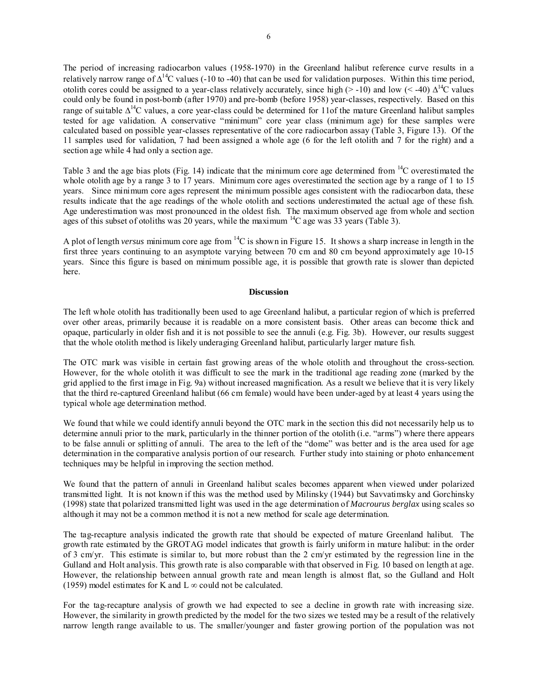The period of increasing radiocarbon values (1958-1970) in the Greenland halibut reference curve results in a relatively narrow range of  $\Delta^{14}C$  values (-10 to -40) that can be used for validation purposes. Within this time period, otolith cores could be assigned to a year-class relatively accurately, since high ( $>$ -10) and low ( $<$ -40)  $\Delta^{14}$ C values could only be found in post-bomb (after 1970) and pre-bomb (before 1958) year-classes, respectively. Based on this range of suitable  $\Delta^{14}C$  values, a core year-class could be determined for 11of the mature Greenland halibut samples tested for age validation. A conservative "minimum" core year class (minimum age) for these samples were calculated based on possible year-classes representative of the core radiocarbon assay (Table 3, Figure 13). Of the 11 samples used for validation, 7 had been assigned a whole age (6 for the left otolith and 7 for the right) and a section age while 4 had only a section age.

Table 3 and the age bias plots (Fig. 14) indicate that the minimum core age determined from  ${}^{14}C$  overestimated the whole otolith age by a range 3 to 17 years. Minimum core ages overestimated the section age by a range of 1 to 15 years. Since minimum core ages represent the minimum possible ages consistent with the radiocarbon data, these results indicate that the age readings of the whole otolith and sections underestimated the actual age of these fish. Age underestimation was most pronounced in the oldest fish. The maximum observed age from whole and section ages of this subset of otoliths was 20 years, while the maximum  $^{14}$ C age was 33 years (Table 3).

A plot of length *versus* minimum core age from 14C is shown in Figure 15. It shows a sharp increase in length in the first three years continuing to an asymptote varying between 70 cm and 80 cm beyond approximately age 10-15 years. Since this figure is based on minimum possible age, it is possible that growth rate is slower than depicted here.

#### **Discussion**

The left whole otolith has traditionally been used to age Greenland halibut, a particular region of which is preferred over other areas, primarily because it is readable on a more consistent basis. Other areas can become thick and opaque, particularly in older fish and it is not possible to see the annuli (e.g. Fig. 3b). However, our results suggest that the whole otolith method is likely underaging Greenland halibut, particularly larger mature fish.

The OTC mark was visible in certain fast growing areas of the whole otolith and throughout the cross-section. However, for the whole otolith it was difficult to see the mark in the traditional age reading zone (marked by the grid applied to the first image in Fig. 9a) without increased magnification. As a result we believe that it is very likely that the third re-captured Greenland halibut (66 cm female) would have been under-aged by at least 4 years using the typical whole age determination method.

We found that while we could identify annuli beyond the OTC mark in the section this did not necessarily help us to determine annuli prior to the mark, particularly in the thinner portion of the otolith (i.e. "arms") where there appears to be false annuli or splitting of annuli. The area to the left of the "dome" was better and is the area used for age determination in the comparative analysis portion of our research. Further study into staining or photo enhancement techniques may be helpful in improving the section method.

We found that the pattern of annuli in Greenland halibut scales becomes apparent when viewed under polarized transmitted light. It is not known if this was the method used by Milinsky (1944) but Savvatimsky and Gorchinsky (1998) state that polarized transmitted light was used in the age determination of *Macrourus berglax* using scales so although it may not be a common method it is not a new method for scale age determination.

The tag-recapture analysis indicated the growth rate that should be expected of mature Greenland halibut. The growth rate estimated by the GROTAG model indicates that growth is fairly uniform in mature halibut: in the order of 3 cm/yr. This estimate is similar to, but more robust than the 2 cm/yr estimated by the regression line in the Gulland and Holt analysis. This growth rate is also comparable with that observed in Fig. 10 based on length at age. However, the relationship between annual growth rate and mean length is almost flat, so the Gulland and Holt (1959) model estimates for K and L  $\infty$  could not be calculated.

For the tag-recapture analysis of growth we had expected to see a decline in growth rate with increasing size. However, the similarity in growth predicted by the model for the two sizes we tested may be a result of the relatively narrow length range available to us. The smaller/younger and faster growing portion of the population was not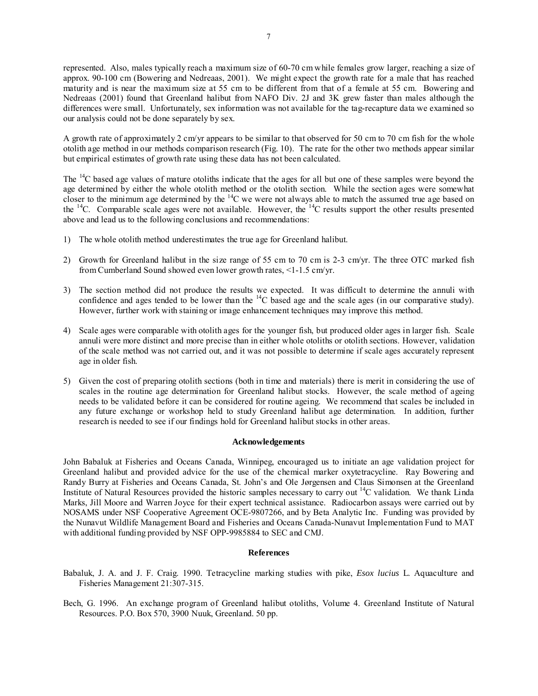represented. Also, males typically reach a maximum size of 60-70 cm while females grow larger, reaching a size of approx. 90-100 cm (Bowering and Nedreaas, 2001). We might expect the growth rate for a male that has reached maturity and is near the maximum size at 55 cm to be different from that of a female at 55 cm. Bowering and Nedreaas (2001) found that Greenland halibut from NAFO Div. 2J and 3K grew faster than males although the differences were small. Unfortunately, sex information was not available for the tag-recapture data we examined so our analysis could not be done separately by sex.

A growth rate of approximately 2 cm/yr appears to be similar to that observed for 50 cm to 70 cm fish for the whole otolith age method in our methods comparison research (Fig. 10). The rate for the other two methods appear similar but empirical estimates of growth rate using these data has not been calculated.

The  $14C$  based age values of mature otoliths indicate that the ages for all but one of these samples were beyond the age determined by either the whole otolith method or the otolith section. While the section ages were somewhat closer to the minimum age determined by the  $14C$  we were not always able to match the assumed true age based on the 14C. Comparable scale ages were not available. However, the 14C results support the other results presented above and lead us to the following conclusions and recommendations:

- 1) The whole otolith method underestimates the true age for Greenland halibut.
- 2) Growth for Greenland halibut in the size range of 55 cm to 70 cm is 2-3 cm/yr. The three OTC marked fish from Cumberland Sound showed even lower growth rates, <1-1.5 cm/yr.
- 3) The section method did not produce the results we expected. It was difficult to determine the annuli with confidence and ages tended to be lower than the  $^{14}$ C based age and the scale ages (in our comparative study). However, further work with staining or image enhancement techniques may improve this method.
- 4) Scale ages were comparable with otolith ages for the younger fish, but produced older ages in larger fish. Scale annuli were more distinct and more precise than in either whole otoliths or otolith sections. However, validation of the scale method was not carried out, and it was not possible to determine if scale ages accurately represent age in older fish.
- 5) Given the cost of preparing otolith sections (both in time and materials) there is merit in considering the use of scales in the routine age determination for Greenland halibut stocks. However, the scale method of ageing needs to be validated before it can be considered for routine ageing. We recommend that scales be included in any future exchange or workshop held to study Greenland halibut age determination. In addition, further research is needed to see if our findings hold for Greenland halibut stocks in other areas.

## **Acknowledgements**

John Babaluk at Fisheries and Oceans Canada, Winnipeg, encouraged us to initiate an age validation project for Greenland halibut and provided advice for the use of the chemical marker oxytetracycline. Ray Bowering and Randy Burry at Fisheries and Oceans Canada, St. John's and Ole Jørgensen and Claus Simonsen at the Greenland Institute of Natural Resources provided the historic samples necessary to carry out 14C validation. We thank Linda Marks, Jill Moore and Warren Joyce for their expert technical assistance. Radiocarbon assays were carried out by NOSAMS under NSF Cooperative Agreement OCE-9807266, and by Beta Analytic Inc. Funding was provided by the Nunavut Wildlife Management Board and Fisheries and Oceans Canada-Nunavut Implementation Fund to MAT with additional funding provided by NSF OPP-9985884 to SEC and CMJ.

## **References**

- Babaluk, J. A. and J. F. Craig. 1990. Tetracycline marking studies with pike, *Esox lucius* L. Aquaculture and Fisheries Management 21:307-315.
- Bech, G. 1996. An exchange program of Greenland halibut otoliths, Volume 4. Greenland Institute of Natural Resources. P.O. Box 570, 3900 Nuuk, Greenland. 50 pp.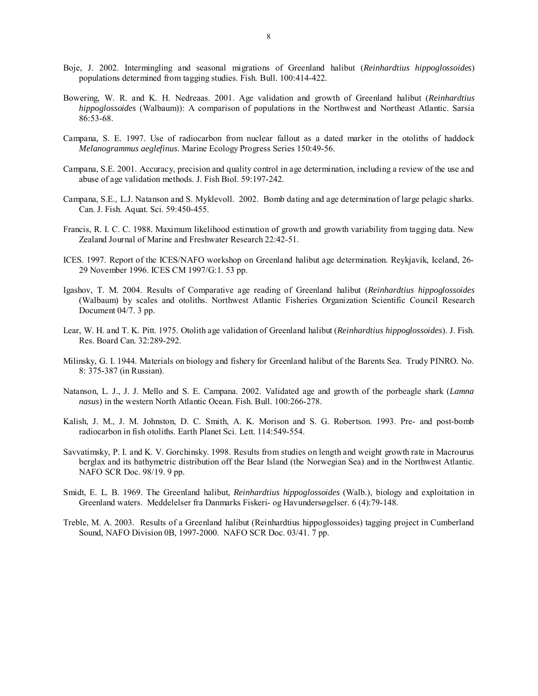- Boje, J. 2002. Intermingling and seasonal migrations of Greenland halibut (*Reinhardtius hippoglossoides*) populations determined from tagging studies. Fish. Bull. 100:414-422.
- Bowering, W. R. and K. H. Nedreaas. 2001. Age validation and growth of Greenland halibut (*Reinhardtius hippoglossoides* (Walbaum)): A comparison of populations in the Northwest and Northeast Atlantic. Sarsia 86:53-68.
- Campana, S. E. 1997. Use of radiocarbon from nuclear fallout as a dated marker in the otoliths of haddock *Melanogrammus aeglefinus*. Marine Ecology Progress Series 150:49-56.
- Campana, S.E. 2001. Accuracy, precision and quality control in age determination, including a review of the use and abuse of age validation methods. J. Fish Biol. 59:197-242.
- Campana, S.E., L.J. Natanson and S. Myklevoll. 2002. Bomb dating and age determination of large pelagic sharks. Can. J. Fish. Aquat. Sci. 59:450-455.
- Francis, R. I. C. C. 1988. Maximum likelihood estimation of growth and growth variability from tagging data. New Zealand Journal of Marine and Freshwater Research 22:42-51.
- ICES. 1997. Report of the ICES/NAFO workshop on Greenland halibut age determination. Reykjavik, Iceland, 26- 29 November 1996. ICES CM 1997/G:1. 53 pp.
- Igashov, T. M. 2004. Results of Comparative age reading of Greenland halibut (*Reinhardtius hippoglossoides* (Walbaum) by scales and otoliths. Northwest Atlantic Fisheries Organization Scientific Council Research Document 04/7. 3 pp.
- Lear, W. H. and T. K. Pitt. 1975. Otolith age validation of Greenland halibut (*Reinhardtius hippoglossoides*). J. Fish. Res. Board Can. 32:289-292.
- Milinsky, G. I. 1944. Materials on biology and fishery for Greenland halibut of the Barents Sea. Trudy PINRO. No. 8: 375-387 (in Russian).
- Natanson, L. J., J. J. Mello and S. E. Campana. 2002. Validated age and growth of the porbeagle shark (*Lamna nasus*) in the western North Atlantic Ocean. Fish. Bull. 100:266-278.
- Kalish, J. M., J. M. Johnston, D. C. Smith, A. K. Morison and S. G. Robertson. 1993. Pre- and post-bomb radiocarbon in fish otoliths. Earth Planet Sci. Lett. 114:549-554.
- Savvatimsky, P. I. and K. V. Gorchinsky. 1998. Results from studies on length and weight growth rate in Macrourus berglax and its bathymetric distribution off the Bear Island (the Norwegian Sea) and in the Northwest Atlantic. NAFO SCR Doc. 98/19. 9 pp.
- Smidt, E. L. B. 1969. The Greenland halibut, *Reinhardtius hippoglossoides* (Walb.), biology and exploitation in Greenland waters. Meddelelser fra Danmarks Fiskeri- og Havundersøgelser. 6 (4):79-148.
- Treble, M. A. 2003. Results of a Greenland halibut (Reinhardtius hippoglossoides) tagging project in Cumberland Sound, NAFO Division 0B, 1997-2000. NAFO SCR Doc. 03/41. 7 pp.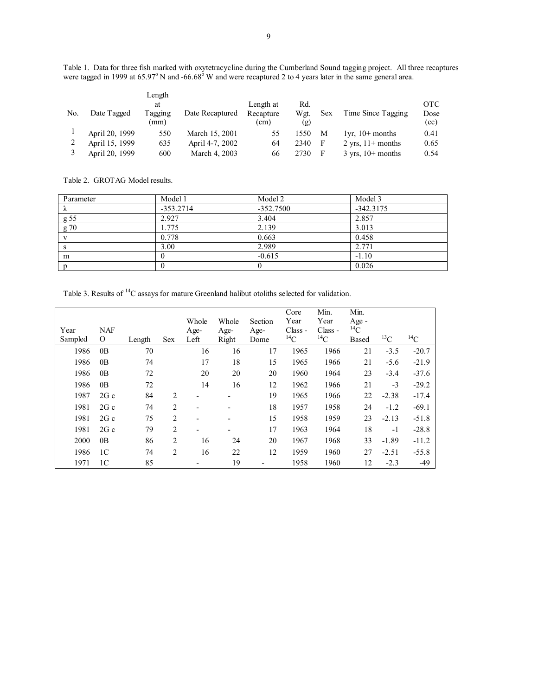Table 1. Data for three fish marked with oxytetracycline during the Cumberland Sound tagging project. All three recaptures were tagged in 1999 at  $65.97^{\circ}$  N and - $66.68^{\circ}$  W and were recaptured 2 to 4 years later in the same general area.

|     |                | Length  |                 |           |      |     |                                |            |
|-----|----------------|---------|-----------------|-----------|------|-----|--------------------------------|------------|
|     |                | at      |                 | Length at | Rd.  |     |                                | <b>OTC</b> |
| No. | Date Tagged    | Tagging | Date Recaptured | Recapture | Wgt. | Sex | Time Since Tagging             | Dose       |
|     |                | (mm)    |                 | (cm)      | (g)  |     |                                | (cc)       |
|     | April 20, 1999 | 550     | March 15, 2001  | 55        | 1550 | M   | $1yr$ , $10+$ months           | 0.41       |
|     | April 15, 1999 | 635     | April 4-7, 2002 | 64        | 2340 |     | 2 yrs, $11+$ months            | 0.65       |
|     | April 20, 1999 | 600     | March 4, 2003   | 66        | 2730 |     | $3 \text{ vrs}$ , $10+$ months | 0.54       |

Table 2. GROTAG Model results.

| Parameter | Model 1     | Model 2     | Model 3     |
|-----------|-------------|-------------|-------------|
| Λ         | $-353.2714$ | $-352.7500$ | $-342.3175$ |
| g 55      | 2.927       | 3.404       | 2.857       |
| g(70)     | 1.775       | 2.139       | 3.013       |
|           | 0.778       | 0.663       | 0.458       |
| S         | 3.00        | 2.989       | 2.771       |
| m         |             | $-0.615$    | $-1.10$     |
|           |             |             | 0.026       |

Table 3. Results of <sup>14</sup>C assays for mature Greenland halibut otoliths selected for validation.

| Year<br>Sampled | <b>NAF</b><br>$\Omega$ |        |                | Whole<br>Age-<br>Left    | Whole<br>Age-<br>Right   | Section<br>Age- | Core<br>Year<br>Class -<br>$^{14}C$ | Min.<br>Year<br>Class -<br>$^{14}C$ | Min.<br>Age -<br>$^{14}$ C | $^{13}$ C | $^{14}$ C |
|-----------------|------------------------|--------|----------------|--------------------------|--------------------------|-----------------|-------------------------------------|-------------------------------------|----------------------------|-----------|-----------|
|                 |                        | Length | <b>Sex</b>     |                          |                          | Dome            |                                     |                                     | <b>Based</b>               |           |           |
| 1986            | 0B                     | 70     |                | 16                       | 16                       | 17              | 1965                                | 1966                                | 21                         | $-3.5$    | $-20.7$   |
| 1986            | 0B                     | 74     |                | 17                       | 18                       | 15              | 1965                                | 1966                                | 21                         | $-5.6$    | $-21.9$   |
| 1986            | 0B                     | 72     |                | 20                       | 20                       | 20              | 1960                                | 1964                                | 23                         | $-3.4$    | $-37.6$   |
| 1986            | 0B                     | 72     |                | 14                       | 16                       | 12              | 1962                                | 1966                                | 21                         | $-3$      | $-29.2$   |
| 1987            | 2Gc                    | 84     | 2              |                          | $\blacksquare$           | 19              | 1965                                | 1966                                | 22                         | $-2.38$   | $-17.4$   |
| 1981            | 2Gc                    | 74     | 2              | $\overline{\phantom{a}}$ |                          | 18              | 1957                                | 1958                                | 24                         | $-1.2$    | $-69.1$   |
| 1981            | 2Gc                    | 75     | $\overline{2}$ |                          | -                        | 15              | 1958                                | 1959                                | 23                         | $-2.13$   | $-51.8$   |
| 1981            | 2Gc                    | 79     | 2              | $\overline{\phantom{a}}$ | $\overline{\phantom{a}}$ | 17              | 1963                                | 1964                                | 18                         | $-1$      | $-28.8$   |
| 2000            | 0B                     | 86     | 2              | 16                       | 24                       | 20              | 1967                                | 1968                                | 33                         | $-1.89$   | $-11.2$   |
| 1986            | 1C                     | 74     | 2              | 16                       | 22                       | 12              | 1959                                | 1960                                | 27                         | $-2.51$   | $-55.8$   |
| 1971            | 1 <sup>C</sup>         | 85     |                |                          | 19                       |                 | 1958                                | 1960                                | 12                         | $-2.3$    | $-49$     |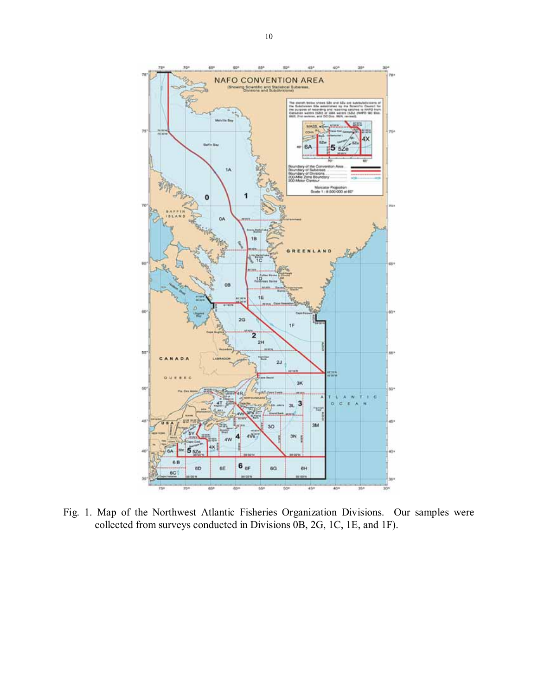

Fig. 1. Map of the Northwest Atlantic Fisheries Organization Divisions. Our samples were collected from surveys conducted in Divisions 0B, 2G, 1C, 1E, and 1F).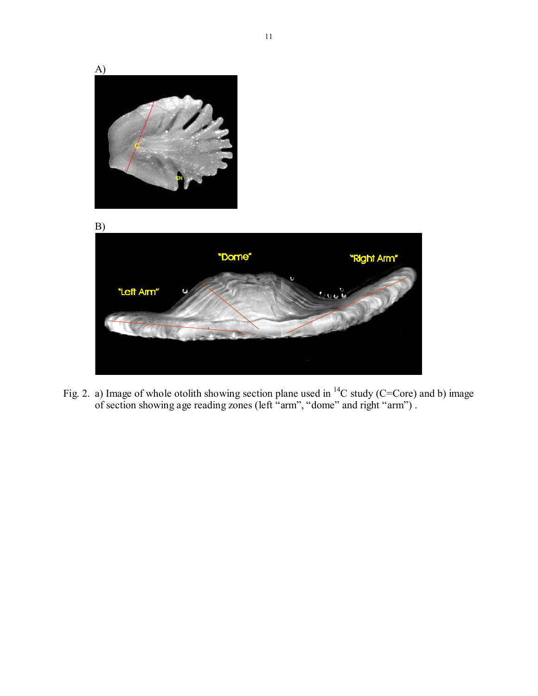

Fig. 2. a) Image of whole otolith showing section plane used in <sup>14</sup>C study (C=Core) and b) image of section showing age reading zones (left "arm", "dome" and right "arm") .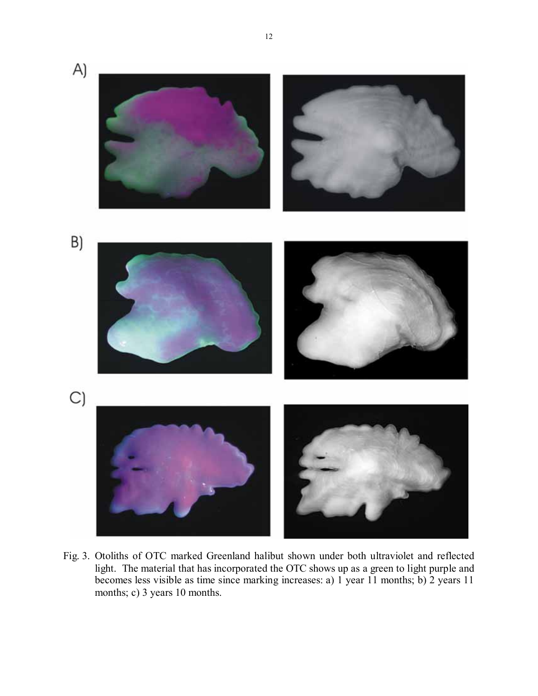

Fig. 3. Otoliths of OTC marked Greenland halibut shown under both ultraviolet and reflected light. The material that has incorporated the OTC shows up as a green to light purple and becomes less visible as time since marking increases: a) 1 year 11 months; b) 2 years 11 months; c) 3 years 10 months.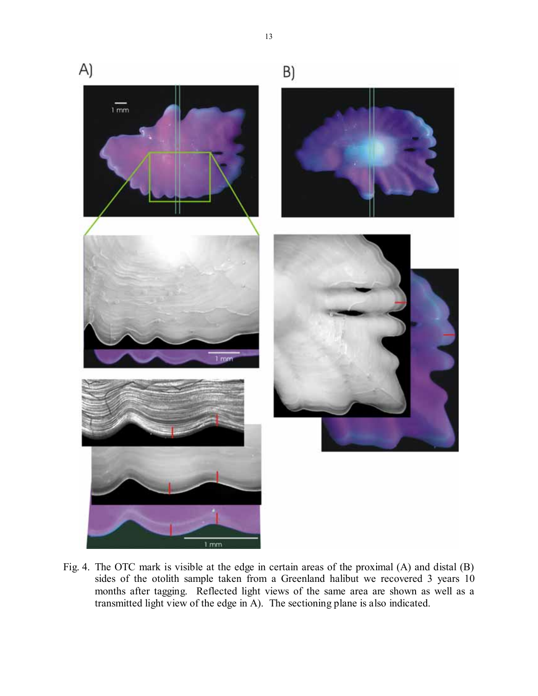

Fig. 4. The OTC mark is visible at the edge in certain areas of the proximal (A) and distal (B) sides of the otolith sample taken from a Greenland halibut we recovered 3 years 10 months after tagging. Reflected light views of the same area are shown as well as a transmitted light view of the edge in A). The sectioning plane is also indicated.

13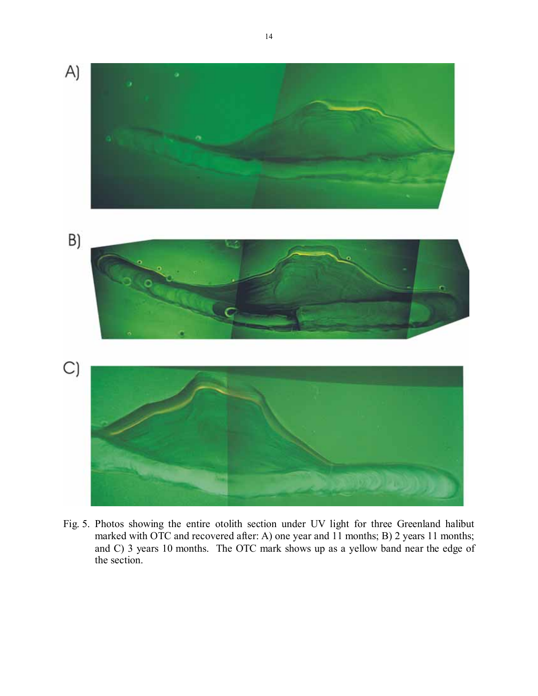

Fig. 5. Photos showing the entire otolith section under UV light for three Greenland halibut marked with OTC and recovered after: A) one year and 11 months; B) 2 years 11 months; and C) 3 years 10 months. The OTC mark shows up as a yellow band near the edge of the section.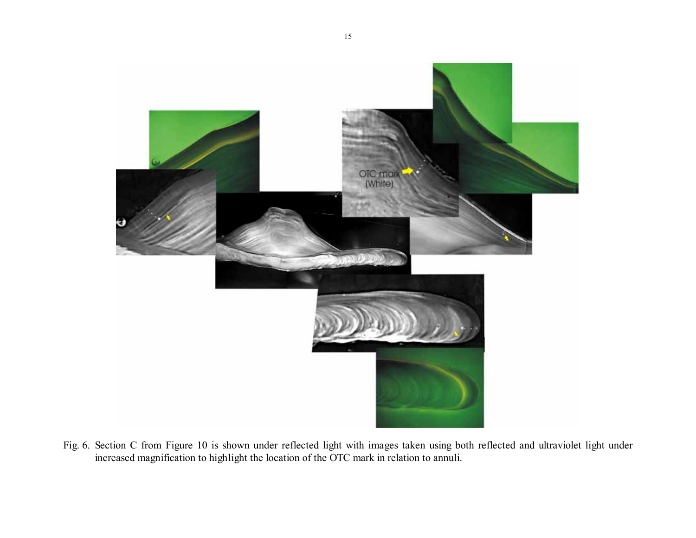

Fig. 6. Section C from Figure 10 is shown under reflected light with images taken using both reflected and ultraviolet light under increased magnification to highlight the location of the OTC mark in relation to annuli.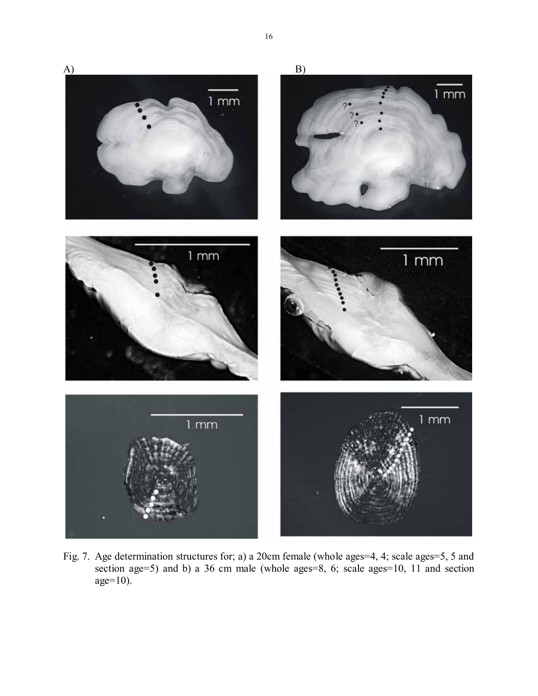

Fig. 7. Age determination structures for; a) a 20cm female (whole ages=4, 4; scale ages=5, 5 and section age=5) and b) a 36 cm male (whole ages=8, 6; scale ages=10, 11 and section age=10).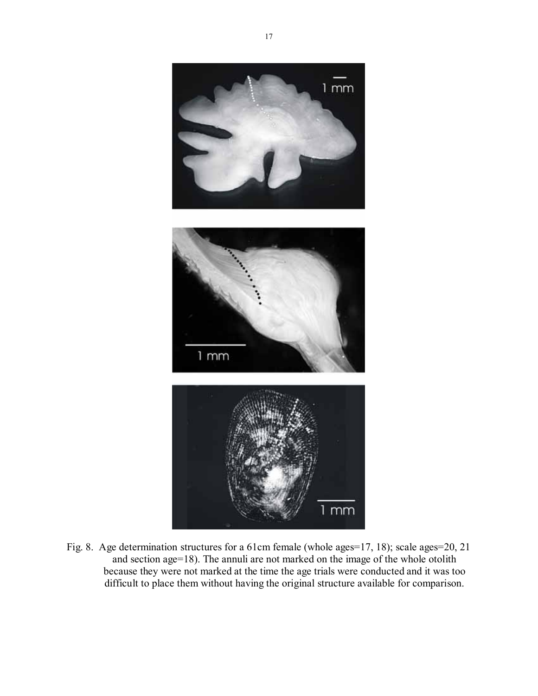

Fig. 8. Age determination structures for a 61cm female (whole ages=17, 18); scale ages=20, 21 and section age=18). The annuli are not marked on the image of the whole otolith because they were not marked at the time the age trials were conducted and it was too difficult to place them without having the original structure available for comparison.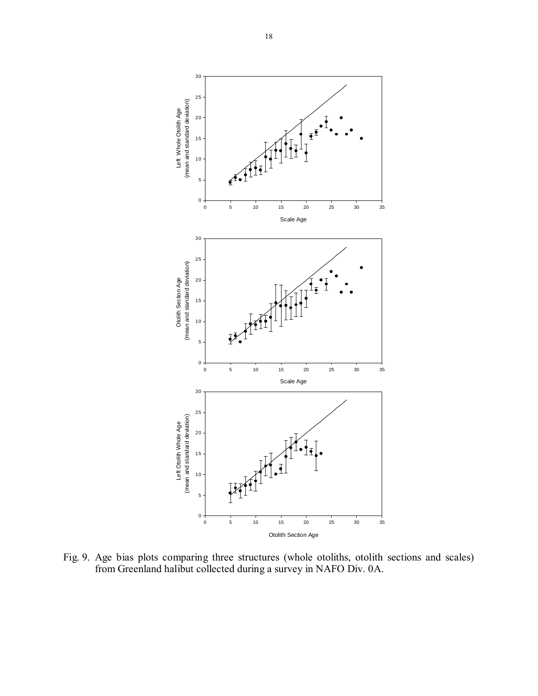

Fig. 9. Age bias plots comparing three structures (whole otoliths, otolith sections and scales) from Greenland halibut collected during a survey in NAFO Div. 0A.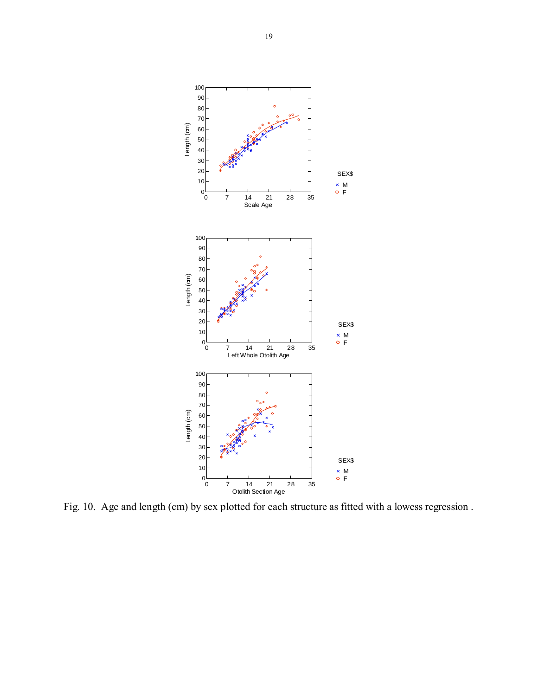

Fig. 10. Age and length (cm) by sex plotted for each structure as fitted with a lowess regression .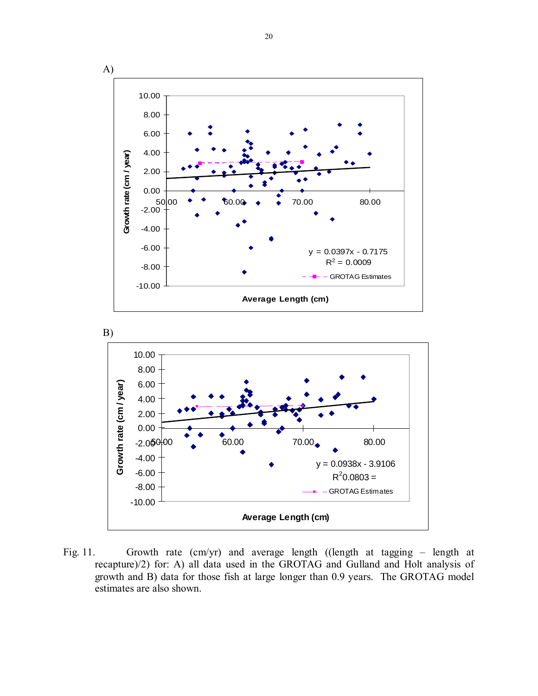

Fig. 11. Growth rate (cm/yr) and average length ((length at tagging – length at recapture)/2) for: A) all data used in the GROTAG and Gulland and Holt analysis of growth and B) data for those fish at large longer than 0.9 years. The GROTAG model estimates are also shown.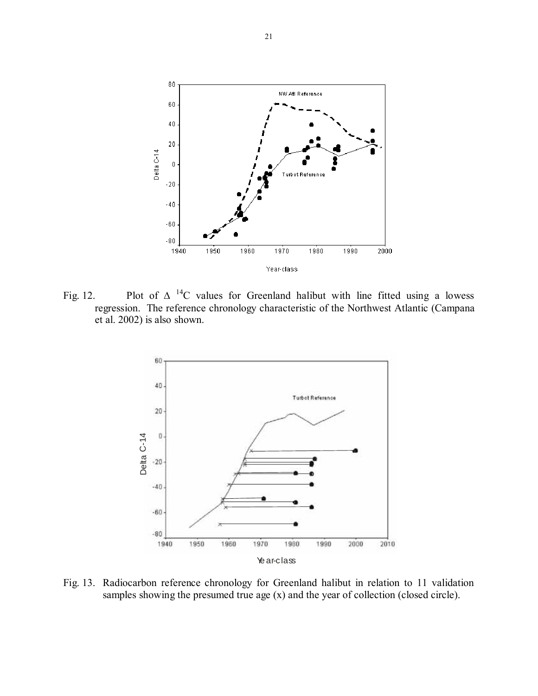

Fig. 12. Plot of  $\Delta$  <sup>14</sup>C values for Greenland halibut with line fitted using a lowess regression. The reference chronology characteristic of the Northwest Atlantic (Campana et al. 2002) is also shown.



Fig. 13. Radiocarbon reference chronology for Greenland halibut in relation to 11 validation samples showing the presumed true age (x) and the year of collection (closed circle).